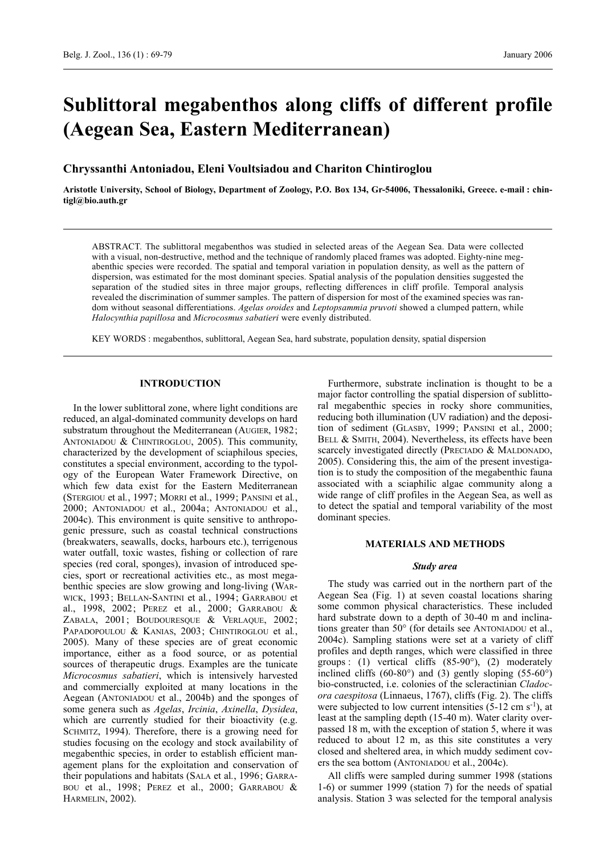# **Sublittoral megabenthos along cliffs of different profile (Aegean Sea, Eastern Mediterranean)**

## **Chryssanthi Antoniadou, Eleni Voultsiadou and Chariton Chintiroglou**

**Aristotle University, School of Biology, Department of Zoology, P.O. Box 134, Gr-54006, Thessaloniki, Greece. e-mail : chintigl@bio.auth.gr**

ABSTRACT. The sublittoral megabenthos was studied in selected areas of the Aegean Sea. Data were collected with a visual, non-destructive, method and the technique of randomly placed frames was adopted. Eighty-nine megabenthic species were recorded. The spatial and temporal variation in population density, as well as the pattern of dispersion, was estimated for the most dominant species. Spatial analysis of the population densities suggested the separation of the studied sites in three major groups, reflecting differences in cliff profile. Temporal analysis revealed the discrimination of summer samples. The pattern of dispersion for most of the examined species was random without seasonal differentiations. *Agelas oroides* and *Leptopsammia pruvoti* showed a clumped pattern, while *Halocynthia papillosa* and *Microcosmus sabatieri* were evenly distributed.

KEY WORDS : megabenthos, sublittoral, Aegean Sea, hard substrate, population density, spatial dispersion

### **INTRODUCTION**

In the lower sublittoral zone, where light conditions are reduced, an algal-dominated community develops on hard substratum throughout the Mediterranean (AUGIER, 1982; ANTONIADOU & CHINTIROGLOU, 2005). This community, characterized by the development of sciaphilous species, constitutes a special environment, according to the typology of the European Water Framework Directive, on which few data exist for the Eastern Mediterranean (STERGIOU et al*.*, 1997; MORRI et al., 1999; PANSINI et al*.*, 2000; ANTONIADOU et al., 2004a; ANTONIADOU et al., 2004c). This environment is quite sensitive to anthropogenic pressure, such as coastal technical constructions (breakwaters, seawalls, docks, harbours etc.), terrigenous water outfall, toxic wastes, fishing or collection of rare species (red coral, sponges), invasion of introduced species, sport or recreational activities etc., as most megabenthic species are slow growing and long-living (WAR-WICK, 1993; BELLAN-SANTINI et al*.*, 1994; GARRABOU et al., 1998, 2002; PEREZ et al*.*, 2000; GARRABOU & ZABALA, 2001; BOUDOURESQUE & VERLAQUE, 2002; PAPADOPOULOU & KANIAS, 2003; CHINTIROGLOU et al*.*, 2005). Many of these species are of great economic importance, either as a food source, or as potential sources of therapeutic drugs. Examples are the tunicate *Microcosmus sabatieri*, which is intensively harvested and commercially exploited at many locations in the Aegean (ANTONIADOU et al., 2004b) and the sponges of some genera such as *Agelas*, *Ircinia*, *Axinella*, *Dysidea*, which are currently studied for their bioactivity (e.g. SCHMITZ, 1994). Therefore, there is a growing need for studies focusing on the ecology and stock availability of megabenthic species, in order to establish efficient management plans for the exploitation and conservation of their populations and habitats (SALA et al*.*, 1996; GARRA-BOU et al., 1998; PEREZ et al., 2000; GARRABOU & HARMELIN, 2002).

Furthermore, substrate inclination is thought to be a major factor controlling the spatial dispersion of sublittoral megabenthic species in rocky shore communities, reducing both illumination (UV radiation) and the deposition of sediment (GLASBY, 1999; PANSINI et al*.*, 2000; BELL & SMITH, 2004). Nevertheless, its effects have been scarcely investigated directly (PRECIADO & MALDONADO, 2005). Considering this, the aim of the present investigation is to study the composition of the megabenthic fauna associated with a sciaphilic algae community along a wide range of cliff profiles in the Aegean Sea, as well as to detect the spatial and temporal variability of the most dominant species.

#### **MATERIALS AND METHODS**

#### *Study area*

The study was carried out in the northern part of the Aegean Sea (Fig. 1) at seven coastal locations sharing some common physical characteristics. These included hard substrate down to a depth of 30-40 m and inclinations greater than 50° (for details see ANTONIADOU et al., 2004c). Sampling stations were set at a variety of cliff profiles and depth ranges, which were classified in three groups : (1) vertical cliffs (85-90°), (2) moderately inclined cliffs (60-80 $^{\circ}$ ) and (3) gently sloping (55-60 $^{\circ}$ ) bio-constructed, i.e. colonies of the scleractinian *Cladocora caespitosa* (Linnaeus, 1767), cliffs (Fig. 2). The cliffs were subjected to low current intensities  $(5-12 \text{ cm s}^{-1})$ , at least at the sampling depth (15-40 m). Water clarity overpassed 18 m, with the exception of station 5, where it was reduced to about 12 m, as this site constitutes a very closed and sheltered area, in which muddy sediment covers the sea bottom (ANTONIADOU et al., 2004c).

All cliffs were sampled during summer 1998 (stations 1-6) or summer 1999 (station 7) for the needs of spatial analysis. Station 3 was selected for the temporal analysis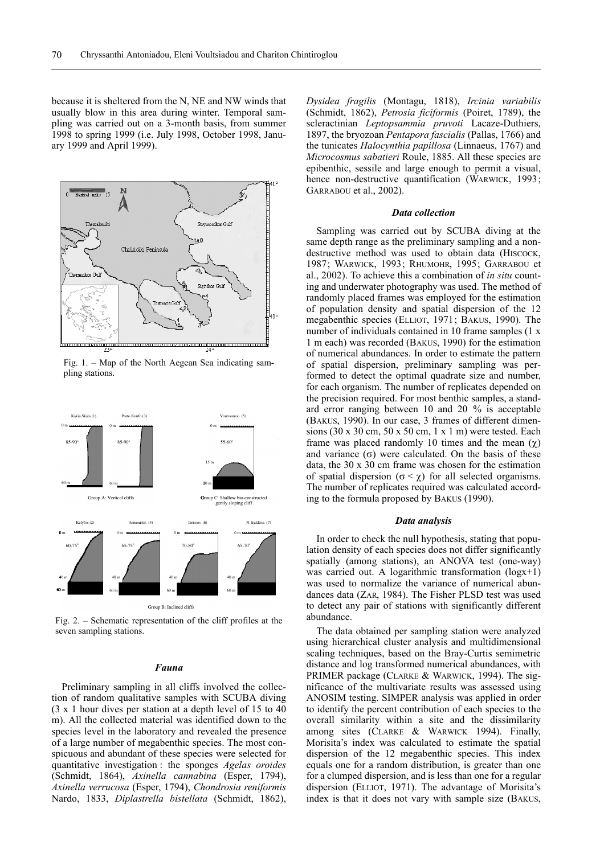because it is sheltered from the N, NE and NW winds that usually blow in this area during winter. Temporal sampling was carried out on a 3-month basis, from summer 1998 to spring 1999 (i.e. July 1998, October 1998, January 1999 and April 1999).



Fig. 1. – Map of the North Aegean Sea indicating sampling stations.



Fig. 2. – Schematic representation of the cliff profiles at the seven sampling stations.

### *Fauna*

Preliminary sampling in all cliffs involved the collection of random qualitative samples with SCUBA diving (3 x 1 hour dives per station at a depth level of 15 to 40 m). All the collected material was identified down to the species level in the laboratory and revealed the presence of a large number of megabenthic species. The most conspicuous and abundant of these species were selected for quantitative investigation : the sponges *Agelas oroides* (Schmidt, 1864), *Axinella cannabina* (Esper, 1794), *Axinella verrucosa* (Esper, 1794), *Chondrosia reniformis* Nardo, 1833, *Diplastrella bistellata* (Schmidt, 1862),

*Dysidea fragilis* (Montagu, 1818), *Ircinia variabilis* (Schmidt, 1862), *Petrosia ficiformis* (Poiret, 1789), the scleractinian *Leptopsammia pruvoti* Lacaze-Duthiers, 1897, the bryozoan *Pentapora fascialis* (Pallas, 1766) and the tunicates *Halocynthia papillosa* (Linnaeus, 1767) and *Microcosmus sabatieri* Roule, 1885. All these species are epibenthic, sessile and large enough to permit a visual, hence non-destructive quantification (WARWICK, 1993; GARRABOU et al., 2002).

#### *Data collection*

Sampling was carried out by SCUBA diving at the same depth range as the preliminary sampling and a nondestructive method was used to obtain data (HISCOCK, 1987; WARWICK, 1993; RHUMOHR, 1995; GARRABOU et al., 2002). To achieve this a combination of *in situ* counting and underwater photography was used. The method of randomly placed frames was employed for the estimation of population density and spatial dispersion of the 12 megabenthic species (ELLIOT, 1971; BAKUS, 1990). The number of individuals contained in 10 frame samples (1 x 1 m each) was recorded (BAKUS, 1990) for the estimation of numerical abundances. In order to estimate the pattern of spatial dispersion, preliminary sampling was performed to detect the optimal quadrate size and number, for each organism. The number of replicates depended on the precision required. For most benthic samples, a standard error ranging between 10 and 20 % is acceptable (BAKUS, 1990). In our case, 3 frames of different dimensions (30 x 30 cm, 50 x 50 cm, 1 x 1 m) were tested. Each frame was placed randomly 10 times and the mean  $(\gamma)$ and variance  $(\sigma)$  were calculated. On the basis of these data, the 30 x 30 cm frame was chosen for the estimation of spatial dispersion ( $\sigma < \chi$ ) for all selected organisms. The number of replicates required was calculated according to the formula proposed by BAKUS (1990).

#### *Data analysis*

In order to check the null hypothesis, stating that population density of each species does not differ significantly spatially (among stations), an ANOVA test (one-way) was carried out. A logarithmic transformation (logx+1) was used to normalize the variance of numerical abundances data (ZAR, 1984). The Fisher PLSD test was used to detect any pair of stations with significantly different abundance.

The data obtained per sampling station were analyzed using hierarchical cluster analysis and multidimensional scaling techniques, based on the Bray-Curtis semimetric distance and log transformed numerical abundances, with PRIMER package (CLARKE & WARWICK, 1994). The significance of the multivariate results was assessed using ANOSIM testing. SIMPER analysis was applied in order to identify the percent contribution of each species to the overall similarity within a site and the dissimilarity among sites (CLARKE & WARWICK 1994). Finally, Morisita's index was calculated to estimate the spatial dispersion of the 12 megabenthic species. This index equals one for a random distribution, is greater than one for a clumped dispersion, and is less than one for a regular dispersion (ELLIOT, 1971). The advantage of Morisita's index is that it does not vary with sample size (BAKUS,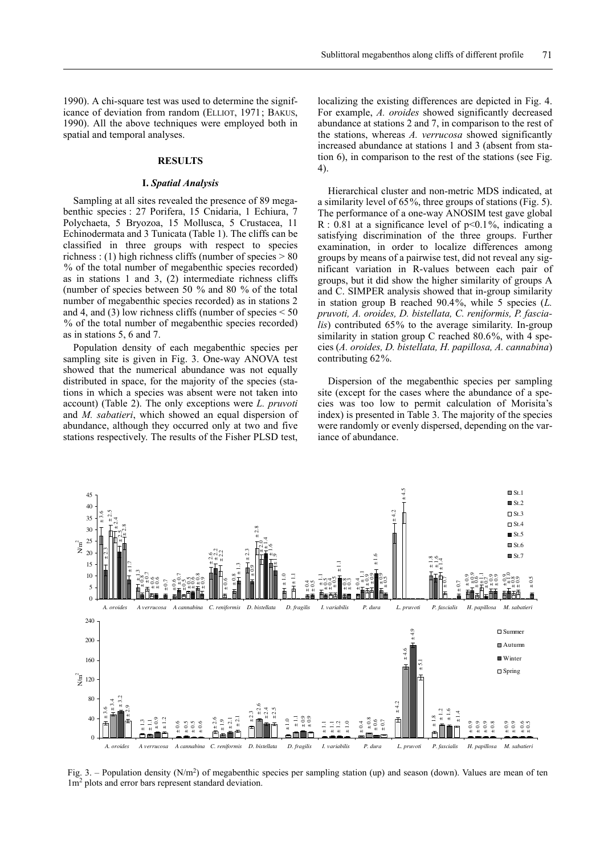1990). A chi-square test was used to determine the significance of deviation from random (ELLIOT, 1971; BAKUS, 1990). All the above techniques were employed both in spatial and temporal analyses.

## **RESULTS**

### **I.** *Spatial Analysis*

Sampling at all sites revealed the presence of 89 megabenthic species : 27 Porifera, 15 Cnidaria, 1 Echiura, 7 Polychaeta, 5 Bryozoa, 15 Mollusca, 5 Crustacea, 11 Echinodermata and 3 Tunicata (Table 1). The cliffs can be classified in three groups with respect to species richness : (1) high richness cliffs (number of species  $> 80$ % of the total number of megabenthic species recorded) as in stations 1 and 3, (2) intermediate richness cliffs (number of species between 50 % and 80 % of the total number of megabenthic species recorded) as in stations 2 and 4, and (3) low richness cliffs (number of species  $\leq 50$ % of the total number of megabenthic species recorded) as in stations 5, 6 and 7.

Population density of each megabenthic species per sampling site is given in Fig. 3. One-way ANOVA test showed that the numerical abundance was not equally distributed in space, for the majority of the species (stations in which a species was absent were not taken into account) (Table 2). The only exceptions were *L. pruvoti* and *M. sabatieri*, which showed an equal dispersion of abundance, although they occurred only at two and five stations respectively. The results of the Fisher PLSD test,

localizing the existing differences are depicted in Fig. 4. For example, *A. oroides* showed significantly decreased abundance at stations 2 and 7, in comparison to the rest of the stations, whereas *A. verrucosa* showed significantly increased abundance at stations 1 and 3 (absent from station 6), in comparison to the rest of the stations (see Fig. 4).

Hierarchical cluster and non-metric MDS indicated, at a similarity level of 65%, three groups of stations (Fig. 5). The performance of a one-way ANOSIM test gave global R : 0.81 at a significance level of  $p<0.1\%$ , indicating a satisfying discrimination of the three groups. Further examination, in order to localize differences among groups by means of a pairwise test, did not reveal any significant variation in R-values between each pair of groups, but it did show the higher similarity of groups A and C. SIMPER analysis showed that in-group similarity in station group B reached 90.4%, while 5 species (*L. pruvoti, A. oroides, D. bistellata, C. reniformis, P. fascialis*) contributed 65% to the average similarity. In-group similarity in station group C reached 80.6%, with 4 species (*A. oroides, D. bistellata, H. papillosa, A. cannabina*) contributing 62%.

Dispersion of the megabenthic species per sampling site (except for the cases where the abundance of a species was too low to permit calculation of Morisita's index) is presented in Table 3. The majority of the species were randomly or evenly dispersed, depending on the variance of abundance.



Fig. 3. – Population density  $(N/m^2)$  of megabenthic species per sampling station (up) and season (down). Values are mean of ten 1m2 plots and error bars represent standard deviation.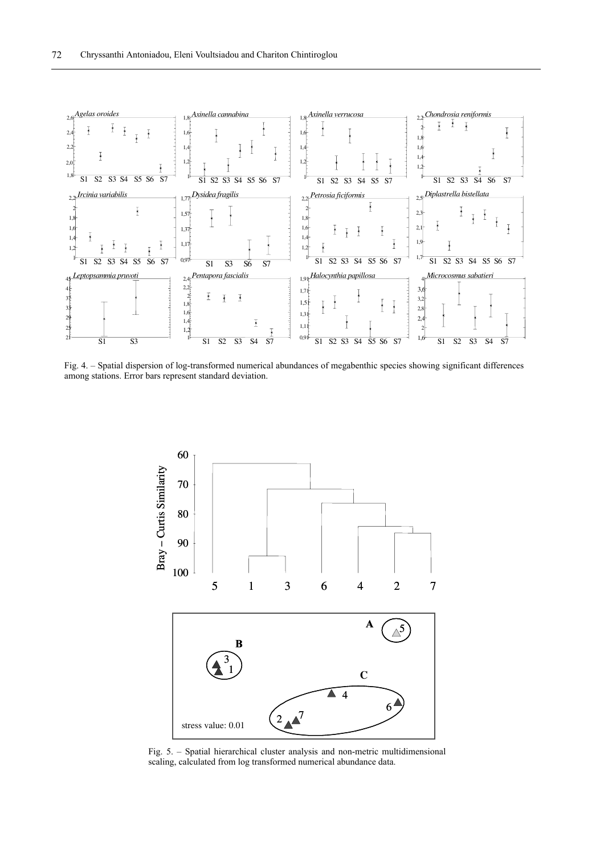

Fig. 4. – Spatial dispersion of log-transformed numerical abundances of megabenthic species showing significant differences among stations. Error bars represent standard deviation.



Fig. 5. – Spatial hierarchical cluster analysis and non-metric multidimensional scaling, calculated from log transformed numerical abundance data.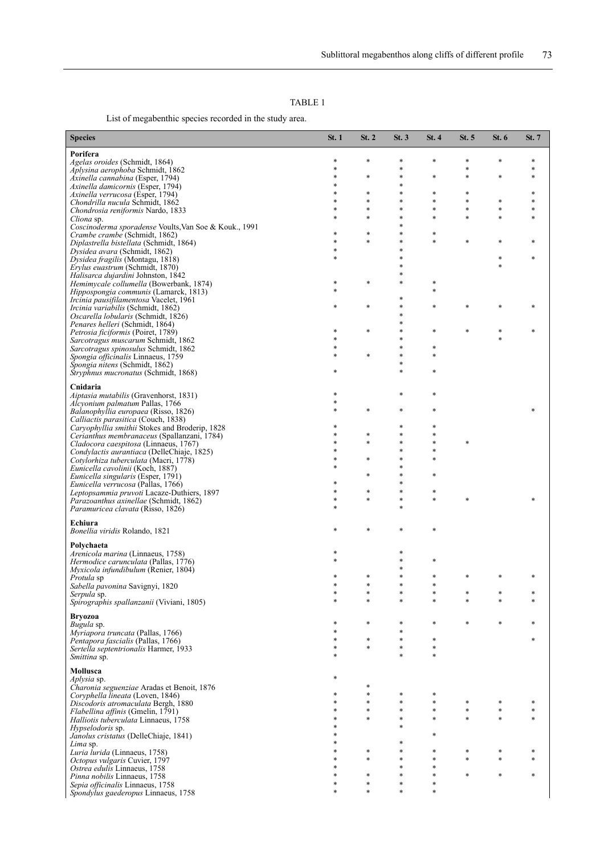List of megabenthic species recorded in the study area.

| <b>Species</b>                                                                         | St. 1            | St. 2            | St.3             | St.4             | St. 5            | St. 6       | St. 7  |
|----------------------------------------------------------------------------------------|------------------|------------------|------------------|------------------|------------------|-------------|--------|
| Porifera                                                                               |                  |                  |                  |                  |                  |             |        |
| Agelas oroides (Schmidt, 1864)<br>Aplysina aerophoba Schmidt, 1862                     | *<br>*           | $\ast$           | *<br>*           | *                | $\ast$<br>$\ast$ | $\ast$      | *      |
| Axinella cannabina (Esper, 1794)                                                       | $\ast$           | $\ast$           | $\ast$           | *                | $\ast$           | $\ast$      | $\ast$ |
| Axinella damicornis (Esper, 1794)                                                      | $\ast$           |                  | *<br>*           | *                |                  |             | \$     |
| Axinella verrucosa (Esper, 1794)<br>Chondrilla nucula Schmidt, 1862                    | $\ast$           | $\ast$<br>$\ast$ | *                | *                | $\ast$<br>$\ast$ | $\ast$      |        |
| <i>Chondrosia reniformis</i> Nardo, 1833                                               | $\ast$           | $\ast$           | *                | *                | $\ast$           | $\ast$      |        |
| Cliona sp.                                                                             |                  | $\ast$           | ×,<br>*          | $\ast$           | $\ast$           | $\ast$      |        |
| Coscinoderma sporadense Voults, Van Soe & Kouk., 1991<br>Crambe crambe (Schmidt, 1862) | $\ast$           | $\ast$           | *                | *                |                  |             |        |
| Diplastrella bistellata (Schmidt, 1864)                                                | $\ast$           | $\ast$           | *                | *                | $\ast$           | $\ast$      |        |
| Dysidea avara (Schmidt, 1862)                                                          | *<br>$\ast$      |                  | *<br>*.          |                  |                  | $\ast$      |        |
| Dysidea fragilis (Montagu, 1818)<br>Erylus euastrum (Schmidt, 1870)                    |                  |                  |                  |                  |                  | $\ast$      |        |
| Halisarca dujardini Johnston, 1842                                                     |                  |                  | *                |                  |                  |             |        |
| <i>Hemimycale collumella</i> (Bowerbank, 1874)                                         | *                | $\ast$           | *                | *<br>*           |                  |             |        |
| Hippospongia communis (Lamarck, 1813)<br><i>Ircinia pausifilamentosa</i> Vacelet, 1961 |                  |                  | *                |                  |                  |             |        |
| <i>Ircinia variabilis</i> (Schmidt, 1862)                                              | $\ast$           | $\ast$           | *                | *                |                  | $\ast$      |        |
| Oscarella lobularis (Schmidt, 1826)                                                    |                  |                  | ×,<br>×.         |                  |                  |             |        |
| Penares helleri (Schmidt, 1864)<br>Petrosia ficiformis (Poiret, 1789)                  | *                | $\ast$           | ×,               | *                |                  | *           |        |
| Sarcotragus muscarum Schmidt, 1862                                                     |                  |                  | ×                |                  |                  |             |        |
| Sarcotragus spinosulus Schmidt, 1862                                                   | $\ast$<br>$\ast$ |                  | *                | *                |                  |             |        |
| Spongia officinalis Linnaeus, 1759<br>Spongia nitens (Schmidt, 1862)                   |                  | $\ast$           | *<br>*           | *                |                  |             |        |
| Stryphnus mucronatus (Schmidt, 1868)                                                   | *                |                  | *                | *                |                  |             |        |
|                                                                                        |                  |                  |                  |                  |                  |             |        |
| Cnidaria<br>Aiptasia mutabilis (Gravenhorst, 1831)                                     |                  |                  | *                | *                |                  |             |        |
| <i>Alcyonium palmatum Pallas, 1766</i>                                                 | *                |                  |                  |                  |                  |             |        |
| <i>Balanophyllia europaea</i> (Risso, 1826)                                            | $\ast$           | $\ast$           | *                | *                |                  |             |        |
| Calliactis parasitica (Couch, 1838)<br>Caryophyllia smithii Stokes and Broderip, 1828  | *                |                  | *                | *                |                  |             |        |
| Cerianthus membranaceus (Spallanzani, 1784)                                            | $\ast$           | *                | *                | *                |                  |             |        |
| Cladocora caespitosa (Linnaeus, 1767)                                                  | $\ast$           | $\ast$           | ×,<br>*          | *<br>*           | $\ast$           |             |        |
| Condylactis aurantiaca (DelleChiaje, 1825)<br>Cotylorhiza tuberculata (Macri, 1778)    | $\ast$           | $\ast$           | ÷                | *                |                  |             |        |
| Eunicella cavolinii (Koch, 1887)                                                       |                  |                  | ÷                |                  |                  |             |        |
| Eunicella singularis (Esper, 1791)                                                     | *                | $\ast$           | *<br>*           | *                |                  |             |        |
| Eunicella verrucosa (Pallas, 1766)<br>Leptopsammia pruvoti Lacaze-Duthiers, 1897       |                  | $\ast$           | *                | *                |                  |             |        |
| <i>Parazoanthus axinellae</i> (Schmidt, 1862)                                          | $\ast$           | $\ast$           | *                | $\ast$           | $\ast$           |             |        |
| Paramuricea clavata (Risso, 1826)                                                      |                  |                  | *                |                  |                  |             |        |
| Echiura                                                                                |                  |                  |                  |                  |                  |             |        |
| Bonellia viridis Rolando, 1821                                                         | $\ast$           | $\ast$           | $\ast$           | *                |                  |             |        |
| Polychaeta                                                                             |                  |                  |                  |                  |                  |             |        |
| Arenicola marina (Linnaeus, 1758)                                                      |                  |                  |                  |                  |                  |             |        |
| <i>Hermodice carunculata</i> (Pallas, 1776)<br>Myxicola infundibulum (Renier, 1804)    |                  |                  | *<br>*           | *                |                  |             |        |
| <i>Protula</i> sp                                                                      |                  | *                |                  | $\ast$           |                  |             |        |
| <i>Sabella pavonina</i> Savignyi, 1820                                                 |                  |                  |                  |                  |                  |             |        |
| <i>Serpula</i> sp.<br>Spirographis spallanzanii (Viviani, 1805)                        | *<br>$\ast$      | *<br>$\ast$      | $\ast$<br>*      | *<br>$\ast$      | $\ast$           | $\ast$      |        |
|                                                                                        |                  |                  |                  |                  |                  |             |        |
| <b>Bryozoa</b><br>Bugula sp.                                                           | *                | $\ast$           | *                | *                | $\ast$           | $\ast$      |        |
| Myriapora truncata (Pallas, 1766)                                                      | $\ast$           |                  | *                |                  |                  |             |        |
| Pentapora fascialis (Pallas, 1766)                                                     | $\ast$           | $\ast$           | $\ast$           | $\ast$           |                  |             |        |
| Sertella septentrionalis Harmer, 1933<br>Smittina sp.                                  | *<br>$\ast$      | $\ast$           | $\ast$<br>*      | $\ast$<br>$\ast$ |                  |             |        |
|                                                                                        |                  |                  |                  |                  |                  |             |        |
| Mollusca                                                                               | *                |                  |                  |                  |                  |             |        |
| <i>Aplysia</i> sp.<br>Charonia seguenziae Aradas et Benoit, 1876                       |                  | $\ast$           |                  |                  |                  |             |        |
| Coryphella lineata (Loven, 1846)                                                       | *                | $\ast$           | $\ast$           | *                |                  |             |        |
| Discodoris atromaculata Bergh, 1880<br>Flabellina affinis (Gmelin, 1791)               | $\ast$<br>$\ast$ | $\ast$<br>$\ast$ | $\ast$<br>*      | $\ast$<br>*      | $\ast$<br>$\ast$ | *<br>$\ast$ |        |
| Halliotis tuberculata Linnaeus, 1758                                                   | $\ast$           | $\ast$           | $\ast$           | $\ast$           | $\ast$           | $\ast$      |        |
| <i>Hypselodoris</i> sp.                                                                | $\ast$           |                  | $\ast$           |                  |                  |             |        |
| Janolus cristatus (DelleChiaje, 1841)                                                  | $\ast$           |                  | $\ast$           | *                |                  |             |        |
| Lima sp.<br>Luria lurida (Linnaeus, 1758)                                              | $\ast$           | *                | $\ast$           | *                | *                | *           |        |
| Octopus vulgaris Cuvier, 1797                                                          | $\ast$           | $\ast$           | *                | *                | $\ast$           | $\ast$      |        |
| Ostrea edulis Linnaeus, 1758                                                           | $\ast$<br>*      | $\ast$           | $\ast$<br>$\ast$ | $\ast$<br>*      | $\ast$           | $\ast$      |        |
| Pinna nobilis Linnaeus, 1758<br>Sepia officinalis Linnaeus, 1758                       |                  | $\ast$           | *                | *                |                  |             |        |
| <i>Spondylus gaederopus</i> Linnaeus, 1758                                             | $\ast$           | $\ast$           | $\ast$           | $\ast$           |                  |             |        |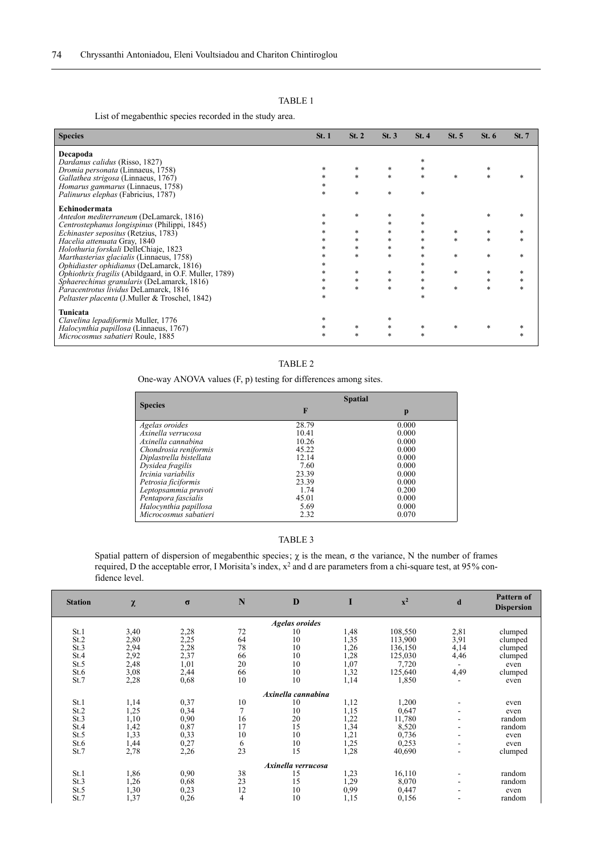List of megabenthic species recorded in the study area.

| <b>Species</b>                                         | St.1   | St. 2       | St.3   | St.4        | St. 5  | St. 6  | St. 7 |
|--------------------------------------------------------|--------|-------------|--------|-------------|--------|--------|-------|
| Decapoda                                               |        |             |        |             |        |        |       |
| Dardanus calidus (Risso, 1827)                         |        |             |        | *           |        |        |       |
| Dromia personata (Linnaeus, 1758)                      | $\ast$ | *           |        | $\ast$      |        | *      |       |
| Gallathea strigosa (Linnaeus, 1767)                    | $\ast$ | $\ast$      | $\ast$ | *           | *      | *      |       |
| Homarus gammarus (Linnaeus, 1758)                      |        |             |        |             |        |        |       |
| Palinurus elephas (Fabricius, 1787)                    | $\ast$ | *           | $\ast$ | *           |        |        |       |
| Echinodermata                                          |        |             |        |             |        |        |       |
| Antedon mediterraneum (DeLamarck, 1816)                | *      | *           |        | *           |        | *      |       |
| Centrostephanus longispinus (Philippi, 1845)           | *      |             |        | *           |        |        |       |
| Echinaster sepositus (Retzius, 1783)                   |        | *           |        | *           | *      | *      |       |
| Hacelia attenuata Gray, 1840                           |        | *           |        | *           | $\ast$ | $\ast$ |       |
| Holothuria forskali DelleChiaje, 1823                  |        | *           |        | *           |        |        |       |
| Marthasterias glacialis (Linnaeus, 1758)               |        | $\ast$      |        | *           | *      | *      |       |
| Ophidiaster ophidianus (DeLamarck, 1816)               |        |             |        | *           |        |        |       |
| Ophiothrix fragilis (Abildgaard, in O.F. Muller, 1789) | $\ast$ | *           | *      | *           | *      | *<br>* |       |
| Sphaerechinus granularis (DeLamarck, 1816)             | $\ast$ | *<br>$\ast$ | *      | *<br>$\ast$ | $\ast$ | *      |       |
| Paracentrotus lividus DeLamarck, 1816                  | *      |             |        | *           |        |        |       |
| Peltaster placenta (J.Muller & Troschel, 1842)         |        |             |        |             |        |        |       |
| Tunicata                                               |        |             |        |             |        |        |       |
| Clavelina lepadiformis Muller, 1776                    | *      |             | *      |             |        |        |       |
| Halocynthia papillosa (Linnaeus, 1767)                 |        | $\ast$      |        | *           | *      | *      |       |
| Microcosmus sabatieri Roule, 1885                      | $\ast$ | *           | *      | *           |        |        |       |

## TABLE 2

One-way ANOVA values (F, p) testing for differences among sites.

|                         | <b>Spatial</b> |       |  |  |  |  |
|-------------------------|----------------|-------|--|--|--|--|
| <b>Species</b>          | F              | p     |  |  |  |  |
| Agelas oroides          | 28.79          | 0.000 |  |  |  |  |
| Axinella verrucosa      | 10.41          | 0.000 |  |  |  |  |
| Axinella cannabina      | 10.26          | 0.000 |  |  |  |  |
| Chondrosia reniformis   | 45.22          | 0.000 |  |  |  |  |
| Diplastrella bistellata | 12.14          | 0.000 |  |  |  |  |
| Dysidea fragilis        | 7.60           | 0.000 |  |  |  |  |
| Ircinia variabilis      | 23.39          | 0.000 |  |  |  |  |
| Petrosia ficiformis     | 23.39          | 0.000 |  |  |  |  |
| Leptopsammia pruvoti    | 1.74           | 0.200 |  |  |  |  |
| Pentapora fascialis     | 45.01          | 0.000 |  |  |  |  |
| Halocynthia papillosa   | 5.69           | 0.000 |  |  |  |  |
| Microcosmus sabatieri   | 2.32           | 0.070 |  |  |  |  |

# TABLE 3

Spatial pattern of dispersion of megabenthic species;  $\chi$  is the mean,  $\sigma$  the variance, N the number of frames required, D the acceptable error, I Morisita's index,  $x^2$  and d are parameters from a chi-square test, at 95% confidence level.

| <b>Station</b> | χ    | $\sigma$ | N              | D                     | T    | $\mathbf{x}^2$ | d                        | <b>Pattern of</b><br><b>Dispersion</b> |
|----------------|------|----------|----------------|-----------------------|------|----------------|--------------------------|----------------------------------------|
|                |      |          |                | <b>Agelas oroides</b> |      |                |                          |                                        |
| St.1           | 3,40 | 2,28     | 72             | 10                    | 1,48 | 108,550        | 2,81                     | clumped                                |
| St.2           | 2,80 | 2,25     | 64             | 10                    | 1,35 | 113,900        | 3,91                     | clumped                                |
| St.3           | 2,94 | 2,28     | 78             | 10                    | 1,26 | 136,150        | 4,14                     | clumped                                |
| St.4           | 2,92 | 2,37     | 66             | 10                    | 1,28 | 125,030        | 4,46                     | clumped                                |
| St.5           | 2,48 | 1,01     | 20             | 10                    | 1,07 | 7,720          | ۰                        | even                                   |
| St.6           | 3,08 | 2,44     | 66             | 10                    | 1,32 | 125,640        | 4,49                     | clumped                                |
| St.7           | 2,28 | 0,68     | 10             | 10                    | 1,14 | 1,850          | $\overline{\phantom{a}}$ | even                                   |
|                |      |          |                | Axinella cannabina    |      |                |                          |                                        |
| St.1           | 1,14 | 0,37     | 10             | 10                    | 1,12 | 1,200          | $\overline{\phantom{a}}$ | even                                   |
| St.2           | 1,25 | 0,34     | $\overline{7}$ | 10                    | 1,15 | 0,647          | $\overline{\phantom{a}}$ | even                                   |
| St.3           | 1,10 | 0,90     | 16             | 20                    | 1,22 | 11,780         | ۰                        | random                                 |
| St.4           | 1,42 | 0,87     | 17             | 15                    | 1,34 | 8,520          | ۰                        | random                                 |
| St.5           | 1,33 | 0,33     | 10             | 10                    | 1,21 | 0,736          |                          | even                                   |
| St.6           | 1,44 | 0,27     | 6              | 10                    | 1,25 | 0.253          | ۰                        | even                                   |
| St.7           | 2,78 | 2,26     | 23             | 15                    | 1,28 | 40,690         | ۰                        | clumped                                |
|                |      |          |                | Axinella verrucosa    |      |                |                          |                                        |
| St.1           | 1,86 | 0,90     | 38             | 15                    | 1,23 | 16,110         | $\overline{\phantom{a}}$ | random                                 |
| St.3           | 1,26 | 0,68     | 23             | 15                    | 1,29 | 8,070          | ۰                        | random                                 |
| St.5           | 1,30 | 0,23     | 12             | 10                    | 0,99 | 0,447          |                          | even                                   |
| St.7           | 1,37 | 0,26     | 4              | 10                    | 1,15 | 0,156          |                          | random                                 |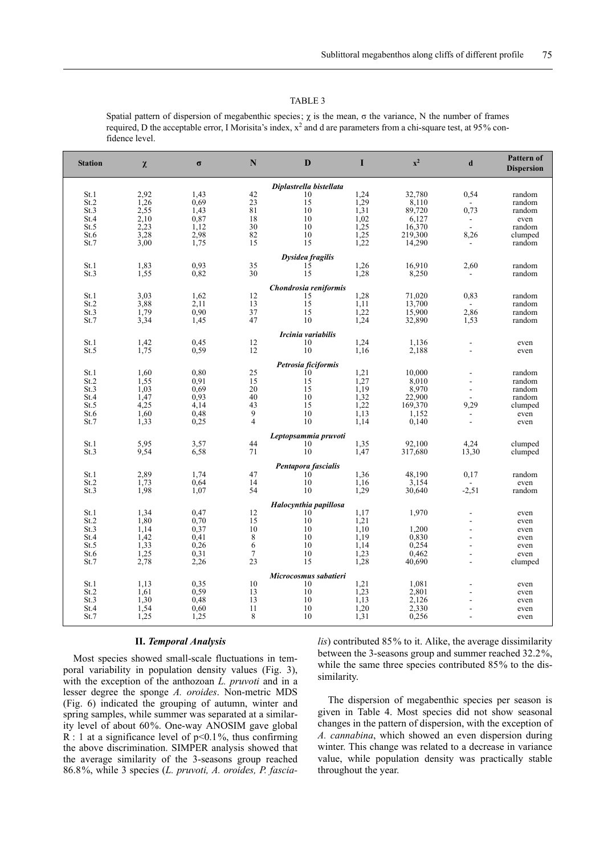Spatial pattern of dispersion of megabenthic species;  $\chi$  is the mean,  $\sigma$  the variance, N the number of frames required, D the acceptable error, I Morisita's index,  $x^2$  and d are parameters from a chi-square test, at 95% confidence level.

| <b>Station</b> | $\pmb{\chi}$ | $\sigma$     | ${\bf N}$       | D                       | I                | $\mathbf{x}^2$  | $\mathbf d$ | Pattern of<br><b>Dispersion</b> |
|----------------|--------------|--------------|-----------------|-------------------------|------------------|-----------------|-------------|---------------------------------|
|                |              |              |                 | Diplastrella bistellata |                  |                 |             |                                 |
| St.1           | 2.92         | 1,43         | 42              | 10                      | 1,24             | 32,780          | 0,54        | random                          |
| St.2           | 1,26         | 0.69         | 23              | 15                      | 1,29             | 8,110           |             | random                          |
| St.3           | 2.55         | 1,43         | $\overline{81}$ | 10                      | 1,31             | 89,720          | 0,73        | random                          |
| St.4           | 2,10<br>2,23 | 0,87<br>1,12 | 18              | 10<br>10                | $1,02$<br>$1,25$ | 6,127<br>16,370 |             | even                            |
| St.5<br>St.6   | 3,28         | 2,98         | 30<br>82        | 10                      | 1,25             | 219,300         | 8,26        | random<br>clumped               |
| St.7           | 3,00         | 1,75         | 15              | 15                      | 1,22             | 14,290          |             | random                          |
|                |              |              |                 | Dysidea fragilis        |                  |                 |             |                                 |
| St.1           | 1,83         | 0,93         | 35              | $1\overline{5}$         | 1,26             | 16,910          | 2,60        | random                          |
| St.3           | 1,55         | 0,82         | 30              | 15                      | 1,28             | 8,250           |             | random                          |
|                |              |              |                 | Chondrosia reniformis   |                  |                 |             |                                 |
| St.1           | 3,03         | 1,62         | 12              | 15                      | 1,28             | 71,020          | 0,83        | random                          |
| St.2           | 3,88         | 2,11         | 13              | 15                      | 1,11             | 13,700          |             | random                          |
| St.3           | 1,79         | 0,90         | 37              | 15                      | 1,22             | 15,900          | 2,86        | random                          |
| St.7           | 3,34         | 1,45         | 47              | 10                      | 1,24             | 32,890          | 1,53        | random                          |
|                |              |              |                 | Ircinia variabilis      |                  |                 |             |                                 |
| St.1           | 1,42         | 0,45         | 12              | 10                      | 1,24             | 1,136           |             | even                            |
| St.5           | 1,75         | 0,59         | 12              | 10                      | 1,16             | 2,188           |             | even                            |
|                |              |              |                 | Petrosia ficiformis     |                  |                 |             |                                 |
| St.1           | 1,60         | 0.80         | $\frac{25}{15}$ | $10^{\circ}$            | 1,21             | 10,000          |             | random                          |
| St.2<br>St.3   | 1,55<br>1,03 | 0,91<br>0,69 | 20              | 15<br>15                | 1,27             | 8,010           |             | random                          |
| St.4           | 1,47         | 0,93         | 40              | 10                      | $1,19$<br>$1,32$ | 8,970<br>22,900 |             | random<br>random                |
| St.5           | 4,25         | 4,14         | 43              | 15                      | 1,22             | 169,370         | 9,29        | clumped                         |
| St.6           | 1,60         | 0,48         | 9               | 10                      | 1,13             | 1,152           |             | even                            |
| St.7           | 1,33         | 0,25         | $\overline{4}$  | 10                      | 1,14             | 0,140           |             | even                            |
|                |              |              |                 | Leptopsammia pruvoti    |                  |                 |             |                                 |
| St.1           | 5.95         | 3,57         | 44              | 10                      | 1,35             | 92,100          | 4,24        | clumped                         |
| St.3           | 9,54         | 6,58         | 71              | 10                      | 1,47             | 317,680         | 13,30       | clumped                         |
|                |              |              |                 | Pentapora fascialis     |                  |                 |             |                                 |
| St.1           | 2,89         | 1,74         | 47              | 10                      | 1,36             | 48,190          | 0,17        | random                          |
| St.2           | 1,73         | 0.64         | 14              | 10                      | 1,16             | 3,154           |             | even                            |
| St.3           | 1.98         | 1,07         | 54              | 10                      | 1,29             | 30,640          | $-2,51$     | random                          |
|                |              |              |                 | Halocynthia papillosa   |                  |                 |             |                                 |
| St.1           | 1,34         | 0,47         | 12              | 10                      | 1,17             | 1,970           |             | even                            |
| St.2           | 1.80         | 0,70         | 15<br>10        | 10                      | 1,21<br>1,10     |                 |             | even                            |
| St.3<br>St.4   | 1,14<br>1,42 | 0,37<br>0,41 | $\,8\,$         | 10<br>10                | 1,19             | 1,200<br>0,830  |             | even<br>even                    |
| St.5           | 1,33         | 0,26         | 6               | 10                      | 1.14             | 0,254           |             | even                            |
| St.6           | 1,25         | 0,31         | $\tau$          | 10                      | 1,23             | 0.462           | ÷,          | even                            |
| St.7           | 2,78         | 2,26         | 23              | 15                      | 1,28             | 40,690          |             | clumped                         |
|                |              |              |                 | Microcosmus sabatieri   |                  |                 |             |                                 |
| St.1           | 1,13         | 0,35         | 10              | 10                      | 1,21             | 1,081           |             | even                            |
| St.2           | 1,61         | 0,59         | 13              | 10                      | 1,23             | 2,801           |             | even                            |
| St.3           | 1,30         | 0,48         | 13              | 10                      | 1,13             | 2,126           |             | even                            |
| St.4           | 1,54         | 0,60         | 11              | 10                      | 1,20             | 2,330           |             | even                            |
| St.7           | 1,25         | 1,25         | 8               | 10                      | 1,31             | 0,256           | ٠           | even                            |

## **II.** *Temporal Analysis*

Most species showed small-scale fluctuations in temporal variability in population density values (Fig. 3), with the exception of the anthozoan *L. pruvoti* and in a lesser degree the sponge *A. oroides*. Non-metric MDS (Fig. 6) indicated the grouping of autumn, winter and spring samples, while summer was separated at a similarity level of about 60%. One-way ANOSIM gave global R : 1 at a significance level of  $p<0.1\%$ , thus confirming the above discrimination. SIMPER analysis showed that the average similarity of the 3-seasons group reached 86.8%, while 3 species (*L. pruvoti, A. oroides, P. fascia-* *lis*) contributed 85% to it. Alike, the average dissimilarity between the 3-seasons group and summer reached 32.2%, while the same three species contributed 85% to the dissimilarity.

The dispersion of megabenthic species per season is given in Table 4. Most species did not show seasonal changes in the pattern of dispersion, with the exception of *A. cannabina*, which showed an even dispersion during winter. This change was related to a decrease in variance value, while population density was practically stable throughout the year.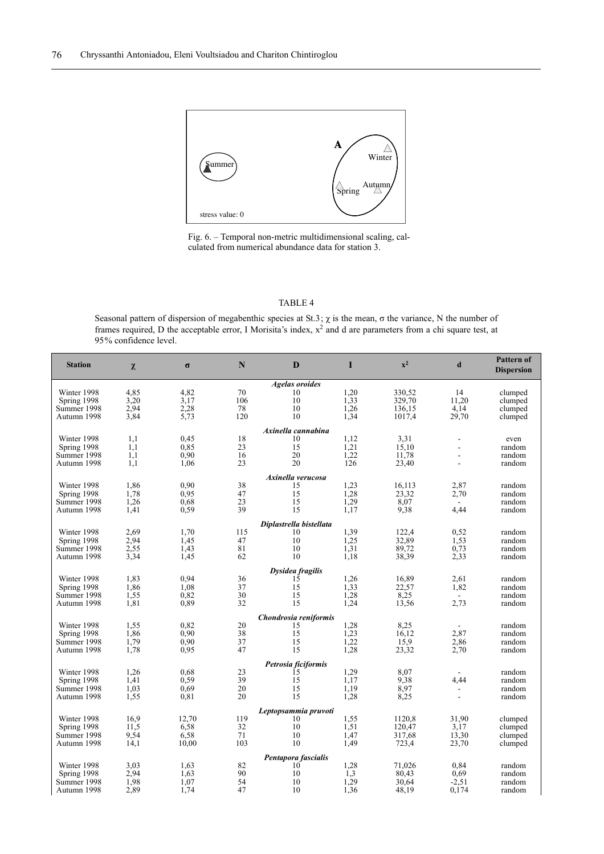

Fig. 6. – Temporal non-metric multidimensional scaling, calculated from numerical abundance data for station 3.

Seasonal pattern of dispersion of megabenthic species at St.3;  $\chi$  is the mean,  $\sigma$  the variance, N the number of frames required, D the acceptable error, I Morisita's index,  $x^2$  and d are parameters from a chi square test, at 95% confidence level.

| <b>Station</b> | $\chi$ | $\sigma$ | N   | D                       | I    | $x^2$  | d              | <b>Pattern of</b><br><b>Dispersion</b> |
|----------------|--------|----------|-----|-------------------------|------|--------|----------------|----------------------------------------|
|                |        |          |     | <b>Agelas oroides</b>   |      |        |                |                                        |
| Winter 1998    | 4,85   | 4,82     | 70  | 10                      | 1,20 | 330,52 | 14             | clumped                                |
| Spring 1998    | 3,20   | 3,17     | 106 | 10                      | 1,33 | 329,70 | 11.20          | clumped                                |
| Summer 1998    | 2.94   | 2,28     | 78  | 10                      | 1,26 | 136.15 | 4,14           | clumped                                |
| Autumn 1998    | 3,84   | 5,73     | 120 | 10                      | 1,34 | 1017,4 | 29,70          | clumped                                |
|                |        |          |     | Axinella cannabina      |      |        |                |                                        |
| Winter 1998    | 1,1    | 0,45     | 18  | 10                      | 1.12 | 3,31   | $\overline{a}$ | even                                   |
| Spring 1998    | 1,1    | 0.85     | 23  | 15                      | 1,21 | 15,10  | ÷.             | random                                 |
| Summer 1998    | 1,1    | 0.90     | 16  | 20                      | 1,22 | 11,78  | L.             | random                                 |
| Autumn 1998    | 1,1    | 1,06     | 23  | 20                      | 126  | 23,40  | ٠              | random                                 |
|                |        |          |     | Axinella verucosa       |      |        |                |                                        |
| Winter 1998    | 1,86   | 0,90     | 38  | 15                      | 1.23 | 16.113 | 2,87           | random                                 |
| Spring 1998    | 1,78   | 0.95     | 47  | 15                      | 1,28 | 23,32  | 2,70           | random                                 |
| Summer 1998    | 1,26   | 0.68     | 23  | 15                      | 1.29 | 8.07   | $\blacksquare$ | random                                 |
| Autumn 1998    | 1,41   | 0,59     | 39  | 15                      | 1,17 | 9,38   | 4,44           | random                                 |
|                |        |          |     | Diplastrella bistellata |      |        |                |                                        |
| Winter 1998    | 2,69   | 1,70     | 115 | 10                      | 1,39 | 122,4  | 0,52           | random                                 |
| Spring 1998    | 2,94   | 1.45     | 47  | 10                      | 1,25 | 32,89  | 1,53           | random                                 |
| Summer 1998    | 2.55   | 1.43     | 81  | 10                      | 1.31 | 89,72  | 0.73           | random                                 |
| Autumn 1998    | 3,34   | 1,45     | 62  | 10                      | 1.18 | 38,39  | 2,33           | random                                 |
|                |        |          |     | Dysidea fragilis        |      |        |                |                                        |
| Winter 1998    | 1,83   | 0.94     | 36  | 15                      | 1,26 | 16,89  | 2.61           | random                                 |
| Spring 1998    | 1,86   | 1,08     | 37  | 15                      | 1,33 | 22,57  | 1,82           | random                                 |
| Summer 1998    | 1,55   | 0,82     | 30  | 15                      | 1.28 | 8,25   | ٠              | random                                 |
| Autumn 1998    | 1,81   | 0,89     | 32  | 15                      | 1,24 | 13,56  | 2,73           | random                                 |
|                |        |          |     | Chondrosia reniformis   |      |        |                |                                        |
| Winter 1998    | 1,55   | 0,82     | 20  | 15                      | 1,28 | 8,25   |                | random                                 |
| Spring 1998    | 1,86   | 0.90     | 38  | 15                      | 1,23 | 16,12  | 2,87           | random                                 |
| Summer 1998    | 1,79   | 0.90     | 37  | 15                      | 1,22 | 15.9   | 2,86           | random                                 |
| Autumn 1998    | 1,78   | 0,95     | 47  | 15                      | 1,28 | 23,32  | 2,70           | random                                 |
|                |        |          |     | Petrosia ficiformis     |      |        |                |                                        |
| Winter 1998    | 1,26   | 0.68     | 23  | 15                      | 1,29 | 8,07   |                | random                                 |
| Spring 1998    | 1,41   | 0,59     | 39  | 15                      | 1.17 | 9.38   | 4,44           | random                                 |
| Summer 1998    | 1,03   | 0.69     | 20  | 15                      | 1,19 | 8.97   | ۰              | random                                 |
| Autumn 1998    | 1,55   | 0,81     | 20  | 15                      | 1,28 | 8,25   | $\overline{a}$ | random                                 |
|                |        |          |     | Leptopsammia pruvoti    |      |        |                |                                        |
| Winter 1998    | 16.9   | 12,70    | 119 | 10                      | 1,55 | 1120,8 | 31.90          | clumped                                |
| Spring 1998    | 11,5   | 6,58     | 32  | 10                      | 1,51 | 120,47 | 3,17           | clumped                                |
| Summer 1998    | 9,54   | 6,58     | 71  | 10                      | 1,47 | 317,68 | 13,30          | clumped                                |
| Autumn 1998    | 14,1   | 10,00    | 103 | 10                      | 1,49 | 723,4  | 23,70          | clumped                                |
|                |        |          |     | Pentapora fascialis     |      |        |                |                                        |
| Winter 1998    | 3,03   | 1.63     | 82  | 10                      | 1,28 | 71.026 | 0.84           | random                                 |
| Spring 1998    | 2.94   | 1.63     | 90  | 10                      | 1,3  | 80,43  | 0,69           | random                                 |
| Summer 1998    | 1,98   | 1.07     | 54  | 10                      | 1.29 | 30.64  | $-2.51$        | random                                 |
| Autumn 1998    | 2,89   | 1,74     | 47  | 10                      | 1,36 | 48,19  | 0,174          | random                                 |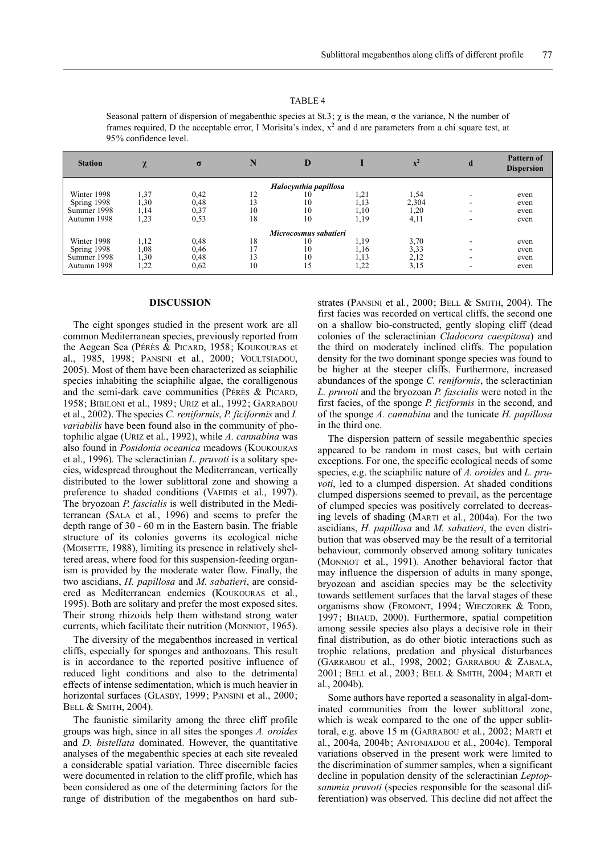| <b>Station</b> | $\mathbf{v}$<br>$\sim$ | $\sigma$ | N  | D                     |      | $\mathbf{x}^2$ | d                        | <b>Pattern of</b><br><b>Dispersion</b> |
|----------------|------------------------|----------|----|-----------------------|------|----------------|--------------------------|----------------------------------------|
|                |                        |          |    | Halocynthia papillosa |      |                |                          |                                        |
| Winter 1998    | 1,37                   | 0,42     | 12 | 10                    | 1,21 | 1,54           | ٠                        | even                                   |
| Spring 1998    | 1,30                   | 0,48     | 13 | 10                    | 1,13 | 2,304          | -                        | even                                   |
| Summer 1998    | 1,14                   | 0,37     | 10 | 10                    | 1,10 | 1,20           | $\overline{\phantom{a}}$ | even                                   |
| Autumn 1998    | 1,23                   | 0,53     | 18 | 10                    | 1,19 | 4,11           | $\overline{\phantom{a}}$ | even                                   |
|                |                        |          |    | Microcosmus sabatieri |      |                |                          |                                        |
| Winter 1998    | 1,12                   | 0,48     | 18 | 10                    | 1.19 | 3,70           | -                        | even                                   |
| Spring 1998    | 1,08                   | 0,46     |    | 10                    | 1.16 | 3,33           | $\overline{\phantom{a}}$ | even                                   |
| Summer 1998    | 1,30                   | 0,48     | 13 | 10                    | 1,13 | 2,12           | $\overline{\phantom{a}}$ | even                                   |
| Autumn 1998    | 1,22                   | 0,62     | 10 | 15                    | 1,22 | 3,15           | $\overline{\phantom{a}}$ | even                                   |

Seasonal pattern of dispersion of megabenthic species at St.3;  $\chi$  is the mean,  $\sigma$  the variance, N the number of frames required, D the acceptable error, I Morisita's index,  $x^2$  and d are parameters from a chi square test, at 95% confidence level.

#### **DISCUSSION**

The eight sponges studied in the present work are all common Mediterranean species, previously reported from the Aegean Sea (PÉRÈS & PICARD, 1958; KOUKOURAS et al., 1985, 1998; PANSINI et al*.*, 2000; VOULTSIADOU, 2005). Most of them have been characterized as sciaphilic species inhabiting the sciaphilic algae, the coralligenous and the semi-dark cave communities (PÉRÈS & PICARD, 1958; BIBILONI et al., 1989; URIZ et al., 1992; GARRABOU et al., 2002). The species *C. reniformis*, *P. ficiformis* and *I. variabilis* have been found also in the community of photophilic algae (URIZ et al*.*, 1992), while *A. cannabina* was also found in *Posidonia oceanica* meadows (KOUKOURAS et al., 1996). The scleractinian *L. pruvoti* is a solitary species, widespread throughout the Mediterranean, vertically distributed to the lower sublittoral zone and showing a preference to shaded conditions (VAFIDIS et al*.*, 1997). The bryozoan *P. fascialis* is well distributed in the Mediterranean (SALA et al*.*, 1996) and seems to prefer the depth range of 30 - 60 m in the Eastern basin. The friable structure of its colonies governs its ecological niche (MOISETTE, 1988), limiting its presence in relatively sheltered areas, where food for this suspension-feeding organism is provided by the moderate water flow. Finally, the two ascidians, *H. papillosa* and *M. sabatieri*, are considered as Mediterranean endemics (KOUKOURAS et al*.*, 1995). Both are solitary and prefer the most exposed sites. Their strong rhizoids help them withstand strong water currents, which facilitate their nutrition (MONNIOT, 1965).

The diversity of the megabenthos increased in vertical cliffs, especially for sponges and anthozoans. This result is in accordance to the reported positive influence of reduced light conditions and also to the detrimental effects of intense sedimentation, which is much heavier in horizontal surfaces (GLASBY, 1999; PANSINI et al., 2000; BELL & SMITH, 2004).

The faunistic similarity among the three cliff profile groups was high, since in all sites the sponges *A. oroides* and *D. bistellata* dominated. However, the quantitative analyses of the megabenthic species at each site revealed a considerable spatial variation. Three discernible facies were documented in relation to the cliff profile, which has been considered as one of the determining factors for the range of distribution of the megabenthos on hard substrates (PANSINI et al*.*, 2000; BELL & SMITH, 2004). The first facies was recorded on vertical cliffs, the second one on a shallow bio-constructed, gently sloping cliff (dead colonies of the scleractinian *Cladocora caespitosa*) and the third on moderately inclined cliffs. The population density for the two dominant sponge species was found to be higher at the steeper cliffs. Furthermore, increased abundances of the sponge *C. reniformis*, the scleractinian *L. pruvoti* and the bryozoan *P. fascialis* were noted in the first facies, of the sponge *P. ficiformis* in the second, and of the sponge *A. cannabina* and the tunicate *H. papillosa* in the third one.

The dispersion pattern of sessile megabenthic species appeared to be random in most cases, but with certain exceptions. For one, the specific ecological needs of some species, e.g. the sciaphilic nature of *A. oroides* and *L. pruvoti*, led to a clumped dispersion. At shaded conditions clumped dispersions seemed to prevail, as the percentage of clumped species was positively correlated to decreasing levels of shading (MARTI et al*.*, 2004a). For the two ascidians, *H. papillosa* and *M. sabatieri*, the even distribution that was observed may be the result of a territorial behaviour, commonly observed among solitary tunicates (MONNIOT et al*.*, 1991). Another behavioral factor that may influence the dispersion of adults in many sponge, bryozoan and ascidian species may be the selectivity towards settlement surfaces that the larval stages of these organisms show (FROMONT, 1994; WIECZOREK & TODD, 1997; BHAUD, 2000). Furthermore, spatial competition among sessile species also plays a decisive role in their final distribution, as do other biotic interactions such as trophic relations, predation and physical disturbances (GARRABOU et al., 1998, 2002; GARRABOU & ZABALA, 2001; BELL et al*.*, 2003; BELL & SMITH, 2004; MARTI et al*.*, 2004b).

Some authors have reported a seasonality in algal-dominated communities from the lower sublittoral zone, which is weak compared to the one of the upper sublittoral, e.g. above 15 m (GARRABOU et al*.*, 2002; MARTI et al*.*, 2004a, 2004b; ANTONIADOU et al*.*, 2004c). Temporal variations observed in the present work were limited to the discrimination of summer samples, when a significant decline in population density of the scleractinian *Leptopsammia pruvoti* (species responsible for the seasonal differentiation) was observed. This decline did not affect the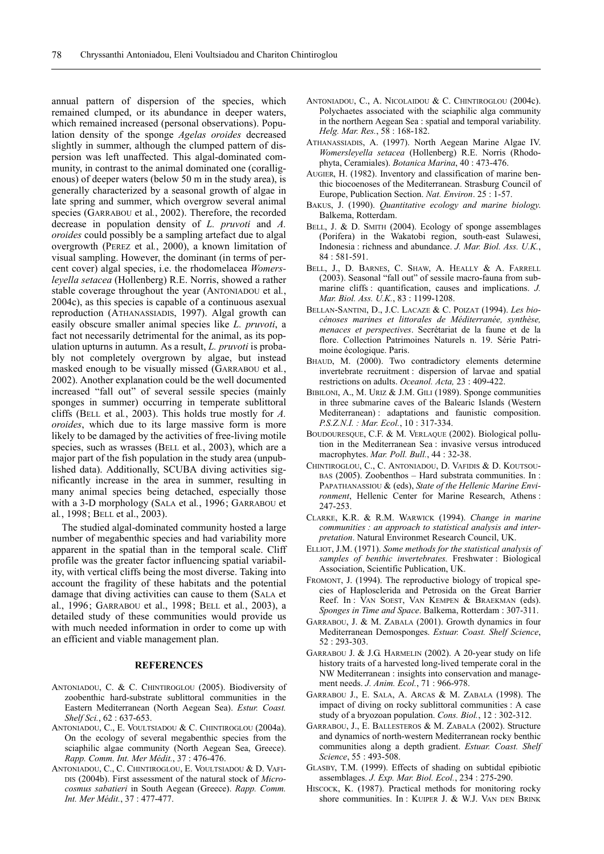annual pattern of dispersion of the species, which remained clumped, or its abundance in deeper waters, which remained increased (personal observations). Population density of the sponge *Agelas oroides* decreased slightly in summer, although the clumped pattern of dispersion was left unaffected. This algal-dominated community, in contrast to the animal dominated one (coralligenous) of deeper waters (below 50 m in the study area), is generally characterized by a seasonal growth of algae in late spring and summer, which overgrow several animal species (GARRABOU et al*.*, 2002). Therefore, the recorded decrease in population density of *L. pruvoti* and *A. oroides* could possibly be a sampling artefact due to algal overgrowth (PEREZ et al*.*, 2000), a known limitation of visual sampling. However, the dominant (in terms of percent cover) algal species, i.e. the rhodomelacea *Womersleyella setacea* (Hollenberg) R.E. Norris, showed a rather stable coverage throughout the year (ANTONIADOU et al*.*, 2004c), as this species is capable of a continuous asexual reproduction (ATHANASSIADIS, 1997). Algal growth can easily obscure smaller animal species like *L. pruvoti*, a fact not necessarily detrimental for the animal, as its population upturns in autumn. As a result, *L. pruvoti* is probably not completely overgrown by algae, but instead masked enough to be visually missed (GARRABOU et al*.*, 2002). Another explanation could be the well documented increased "fall out" of several sessile species (mainly sponges in summer) occurring in temperate sublittoral cliffs (BELL et al*.*, 2003). This holds true mostly for *A. oroides*, which due to its large massive form is more likely to be damaged by the activities of free-living motile species, such as wrasses (BELL et al*.*, 2003), which are a major part of the fish population in the study area (unpublished data). Additionally, SCUBA diving activities significantly increase in the area in summer, resulting in many animal species being detached, especially those with a 3-D morphology (SALA et al*.*, 1996; GARRABOU et al*.*, 1998; BELL et al., 2003).

The studied algal-dominated community hosted a large number of megabenthic species and had variability more apparent in the spatial than in the temporal scale. Cliff profile was the greater factor influencing spatial variability, with vertical cliffs being the most diverse. Taking into account the fragility of these habitats and the potential damage that diving activities can cause to them (SALA et al., 1996; GARRABOU et al., 1998; BELL et al*.*, 2003), a detailed study of these communities would provide us with much needed information in order to come up with an efficient and viable management plan.

#### **REFERENCES**

- ANTONIADOU, C. & C. CHINTIROGLOU (2005). Biodiversity of zoobenthic hard-substrate sublittoral communities in the Eastern Mediterranean (North Aegean Sea). *Estur. Coast. Shelf Sci.*, 62 : 637-653.
- ANTONIADOU, C., E. VOULTSIADOU & C. CHINTIROGLOU (2004a). On the ecology of several megabenthic species from the sciaphilic algae community (North Aegean Sea, Greece). *Rapp. Comm. Int. Mer Médit.*, 37 : 476-476.
- ANTONIADOU, C., C. CHINTIROGLOU, E. VOULTSIADOU & D. VAFI-DIS (2004b). First assessment of the natural stock of *Microcosmus sabatieri* in South Aegean (Greece). *Rapp. Comm. Int. Mer Médit.*, 37 : 477-477.
- ANTONIADOU, C., A. NICOLAIDOU & C. CHINTIROGLOU (2004c). Polychaetes associated with the sciaphilic alga community in the northern Aegean Sea : spatial and temporal variability. *Helg. Mar. Res.*, 58 : 168-182.
- ATHANASSIADIS, A. (1997). North Aegean Marine Algae IV. *Womersleyella setacea* (Hollenberg) R.E. Norris (Rhodophyta, Ceramiales). *Botanica Marina*, 40 : 473-476.
- AUGIER, H. (1982). Inventory and classification of marine benthic biocoenoses of the Mediterranean. Strasburg Council of Europe, Publication Section. *Nat. Environ*. 25 : 1-57.
- BAKUS, J. (1990). *Quantitative ecology and marine biology*. Balkema, Rotterdam.
- BELL, J. & D. SMITH (2004). Ecology of sponge assemblages (Porifera) in the Wakatobi region, south-east Sulawesi, Indonesia : richness and abundance. *J. Mar. Biol. Ass. U.K.*, 84 : 581-591.
- BELL, J., D. BARNES, C. SHAW, A. HEALLY & A. FARRELL (2003). Seasonal "fall out" of sessile macro-fauna from submarine cliffs : quantification, causes and implications. *J. Mar. Biol. Ass. U.K.*, 83 : 1199-1208.
- BELLAN-SANTINI, D., J.C. LACAZE & C. POIZAT (1994). *Les biocénoses marines et littorales de Méditerranée, synthèse, menaces et perspectives*. Secrétariat de la faune et de la flore. Collection Patrimoines Naturels n. 19. Série Patrimoine écologique. Paris.
- BHAUD, M. (2000). Two contradictory elements determine invertebrate recruitment : dispersion of larvae and spatial restrictions on adults. *Oceanol. Acta,* 23 : 409-422.
- BIBILONI, A., M. URIZ & J.M. GILI (1989). Sponge communities in three submarine caves of the Balearic Islands (Western Mediterranean) : adaptations and faunistic composition. *P.S.Z.N.I. : Mar. Ecol.*, 10 : 317-334.
- BOUDOURESQUE, C.F. & M. VERLAQUE (2002). Biological pollution in the Mediterranean Sea : invasive versus introduced macrophytes. *Mar. Poll. Bull.*, 44 : 32-38.
- CHINTIROGLOU, C., C. ANTONIADOU, D. VAFIDIS & D. KOUTSOU-BAS (2005). Zoobenthos – Hard substrata communities. In : PAPATHANASSIOU & (eds), *State of the Hellenic Marine Environment*, Hellenic Center for Marine Research, Athens : 247-253.
- CLARKE, K.R. & R.M. WARWICK (1994). *Change in marine communities : an approach to statistical analysis and interpretation*. Natural Environmet Research Council, UK.
- ELLIOT, J.M. (1971). *Some methods for the statistical analysis of samples of benthic invertebrates.* Freshwater : Biological Association, Scientific Publication, UK.
- FROMONT, J. (1994). The reproductive biology of tropical species of Haplosclerida and Petrosida on the Great Barrier Reef. In : VAN SOEST, VAN KEMPEN & BRAEKMAN (eds). *Sponges in Time and Space*. Balkema, Rotterdam : 307-311.
- GARRABOU, J. & M. ZABALA (2001). Growth dynamics in four Mediterranean Demosponges. *Estuar. Coast. Shelf Science*, 52 : 293-303.
- GARRABOU J. & J.G. HARMELIN (2002). A 20-year study on life history traits of a harvested long-lived temperate coral in the NW Mediterranean : insights into conservation and management needs. *J. Anim. Ecol.*, 71 : 966-978.
- GARRABOU J., E. SALA, A. ARCAS & M. ZABALA (1998). The impact of diving on rocky sublittoral communities : A case study of a bryozoan population. *Cons. Biol.*, 12 : 302-312.
- GARRABOU, J., E. BALLESTEROS & M. ZABALA (2002). Structure and dynamics of north-western Mediterranean rocky benthic communities along a depth gradient. *Estuar. Coast. Shelf Science*, 55 : 493-508.
- GLASBY, T.M. (1999). Effects of shading on subtidal epibiotic assemblages. *J. Exp. Mar. Biol. Ecol.*, 234 : 275-290.
- HISCOCK, K. (1987). Practical methods for monitoring rocky shore communities. In : KUIPER J. & W.J. VAN DEN BRINK